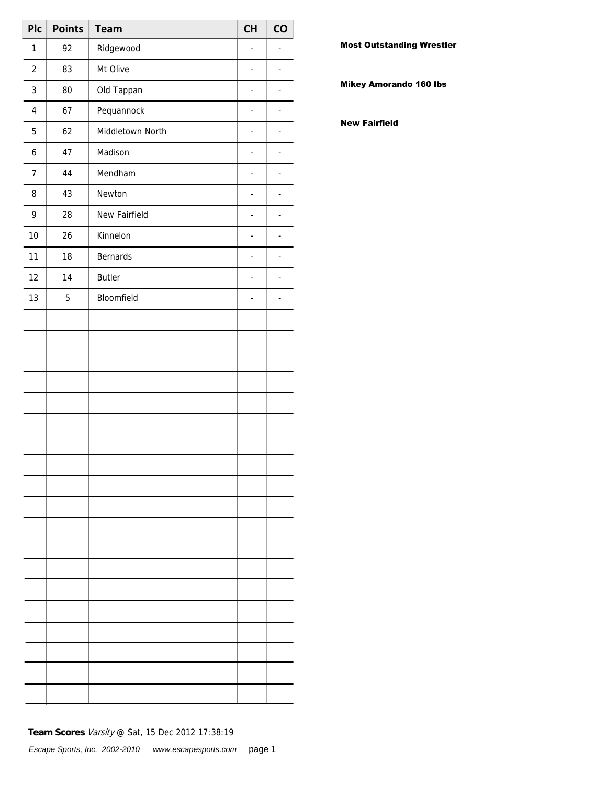| Plc            | <b>Points</b> | <b>Team</b>      | <b>CH</b>      | CO                       |
|----------------|---------------|------------------|----------------|--------------------------|
| $\mathbf{1}$   | 92            | Ridgewood        | $\overline{a}$ |                          |
| $\overline{2}$ | 83            | Mt Olive         | ÷,             | ÷,                       |
| 3              | 80            | Old Tappan       | ÷,             | $\overline{a}$           |
| $\pmb{4}$      | 67            | Pequannock       | ÷,             | $\overline{a}$           |
| 5              | 62            | Middletown North | ÷,             | $\overline{\phantom{a}}$ |
| 6              | 47            | Madison          | $\blacksquare$ | $\overline{a}$           |
| $\overline{7}$ | 44            | Mendham          | ÷,             | $\overline{a}$           |
| 8              | 43            | Newton           | ÷,             | $\overline{a}$           |
| 9              | 28            | New Fairfield    | ÷,             | $\overline{a}$           |
| 10             | 26            | Kinnelon         | $\blacksquare$ | $\overline{a}$           |
| 11             | 18            | <b>Bernards</b>  | $\overline{a}$ | $\overline{a}$           |
| 12             | 14            | <b>Butler</b>    | ÷,             | $\overline{a}$           |
| 13             | 5             | Bloomfield       | ÷,             | $\overline{a}$           |
|                |               |                  |                |                          |
|                |               |                  |                |                          |
|                |               |                  |                |                          |
|                |               |                  |                |                          |
|                |               |                  |                |                          |
|                |               |                  |                |                          |
|                |               |                  |                |                          |
|                |               |                  |                |                          |
|                |               |                  |                |                          |
|                |               |                  |                |                          |
|                |               |                  |                |                          |
|                |               |                  |                |                          |
|                |               |                  |                |                          |
|                |               |                  |                |                          |
|                |               |                  |                |                          |
|                |               |                  |                |                          |
|                |               |                  |                |                          |
|                |               |                  |                |                          |
|                |               |                  |                |                          |

Most Outstanding Wrestler

Mikey Amorando 160 lbs

New Fairfield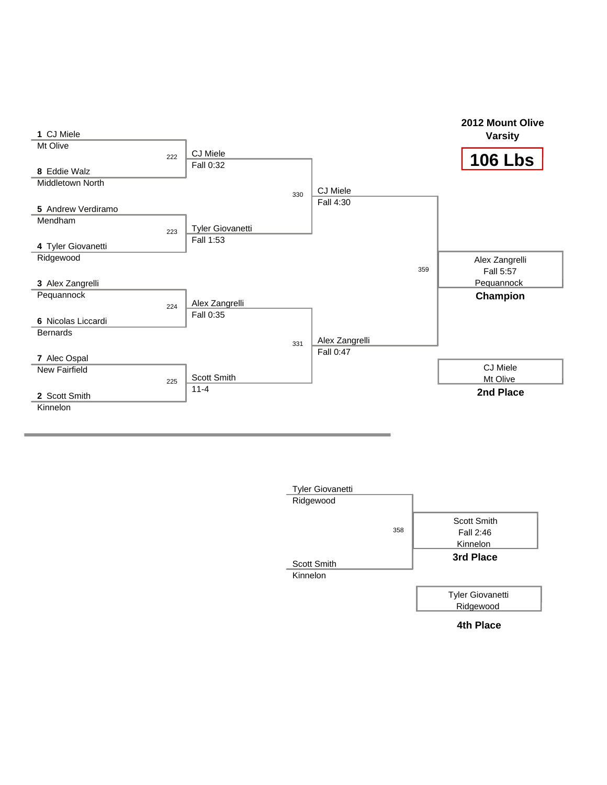



**4th Place**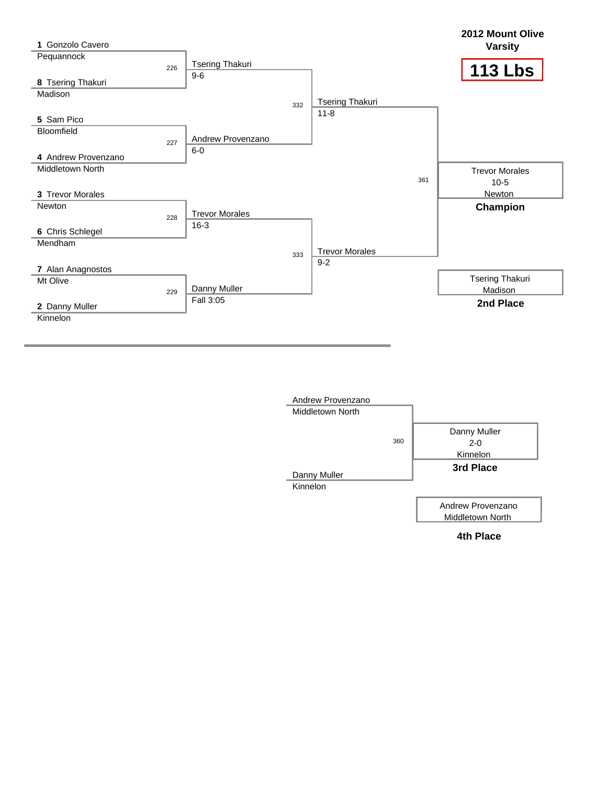

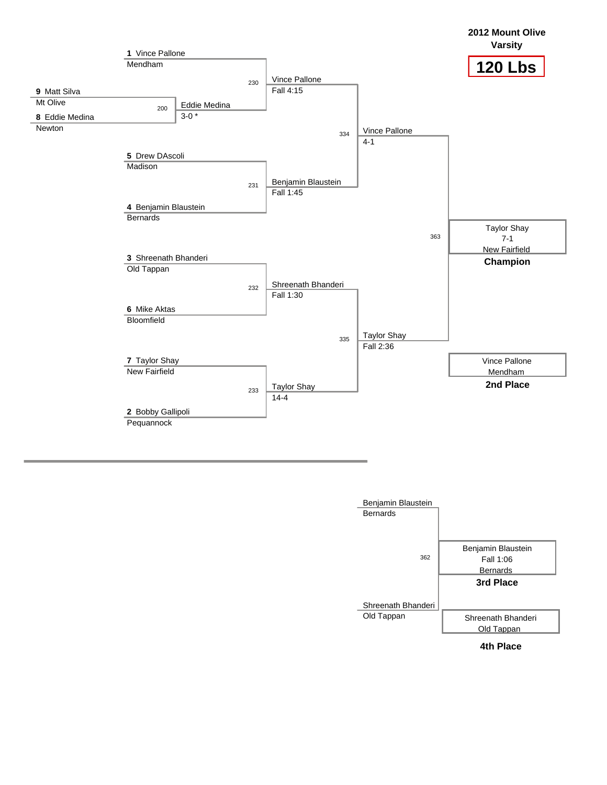

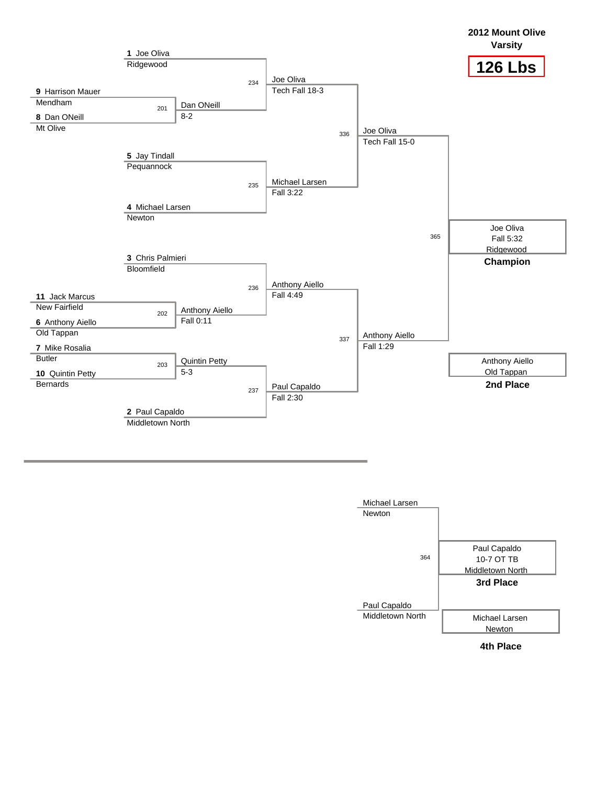

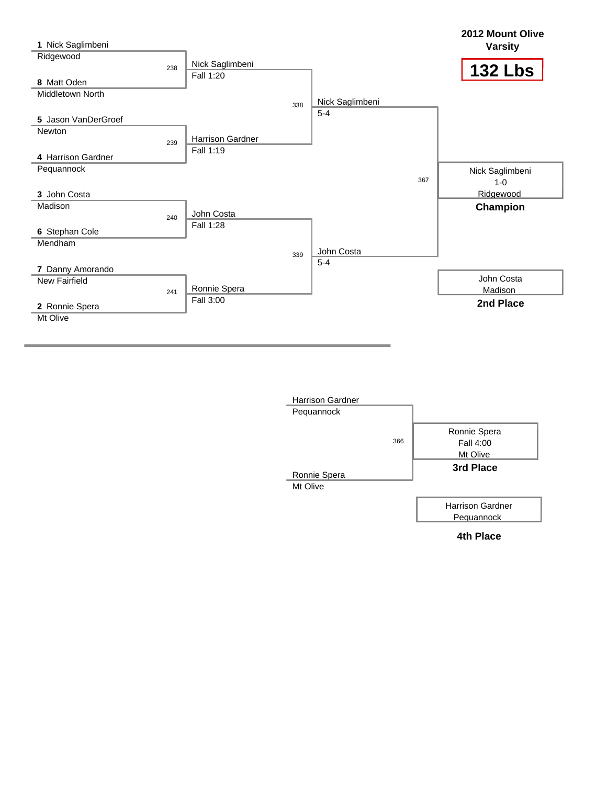| 1 Nick Saglimbeni       |     |                  |     |                 |     | 2012 Mount Olive<br><b>Varsity</b> |
|-------------------------|-----|------------------|-----|-----------------|-----|------------------------------------|
| Ridgewood               |     |                  |     |                 |     |                                    |
|                         | 238 | Nick Saglimbeni  |     |                 |     | <b>132 Lbs</b>                     |
| 8 Matt Oden             |     | Fall 1:20        |     |                 |     |                                    |
| <b>Middletown North</b> |     |                  |     |                 |     |                                    |
|                         |     |                  | 338 | Nick Saglimbeni |     |                                    |
| 5 Jason VanDerGroef     |     |                  |     | $5 - 4$         |     |                                    |
| Newton                  |     |                  |     |                 |     |                                    |
|                         | 239 | Harrison Gardner |     |                 |     |                                    |
| 4 Harrison Gardner      |     | Fall 1:19        |     |                 |     |                                    |
| Pequannock              |     |                  |     |                 |     | Nick Saglimbeni                    |
|                         |     |                  |     |                 | 367 | $1 - 0$                            |
| 3 John Costa            |     |                  |     |                 |     | Ridgewood                          |
| Madison                 |     |                  |     |                 |     | Champion                           |
|                         | 240 | John Costa       |     |                 |     |                                    |
| 6 Stephan Cole          |     | Fall 1:28        |     |                 |     |                                    |
| Mendham                 |     |                  |     |                 |     |                                    |
|                         |     |                  | 339 | John Costa      |     |                                    |
| 7 Danny Amorando        |     |                  |     | $5 - 4$         |     |                                    |
| <b>New Fairfield</b>    |     |                  |     |                 |     | John Costa                         |
|                         | 241 | Ronnie Spera     |     |                 |     | Madison                            |
| 2 Ronnie Spera          |     | Fall 3:00        |     |                 |     | 2nd Place                          |
| Mt Olive                |     |                  |     |                 |     |                                    |
|                         |     |                  |     |                 |     |                                    |

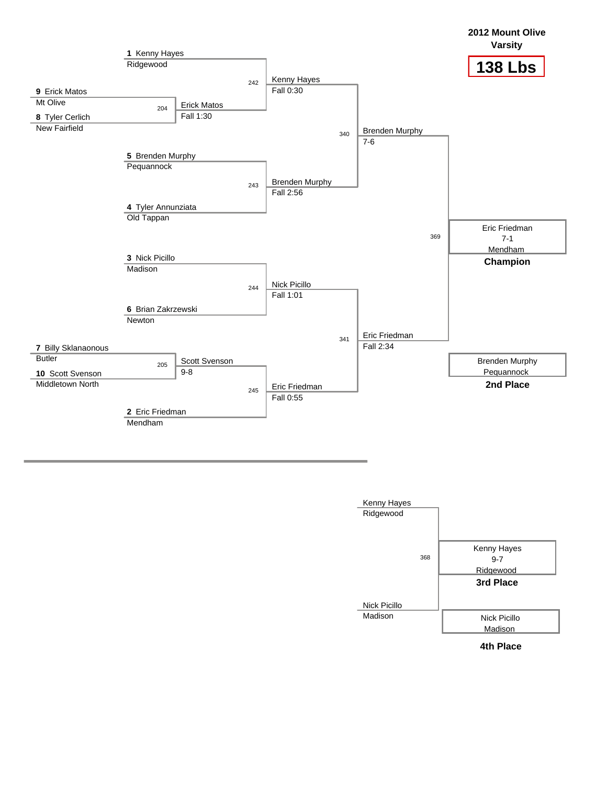

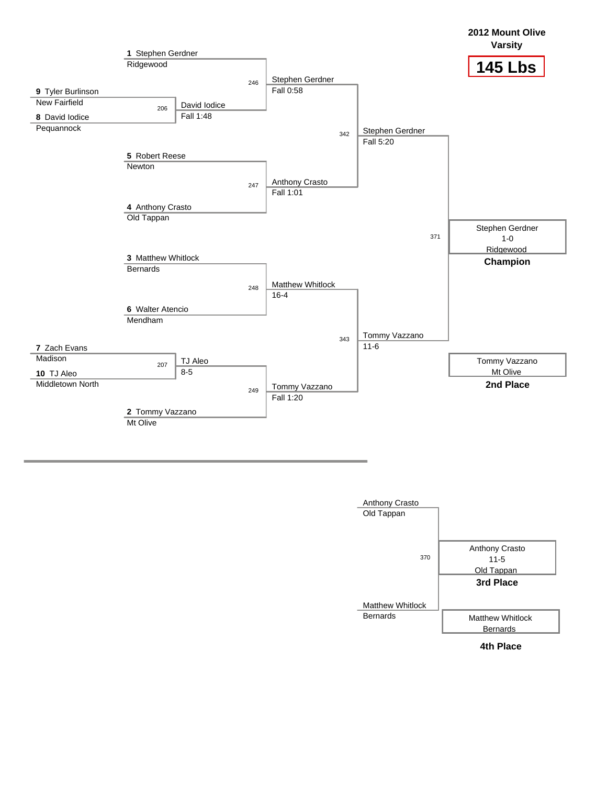

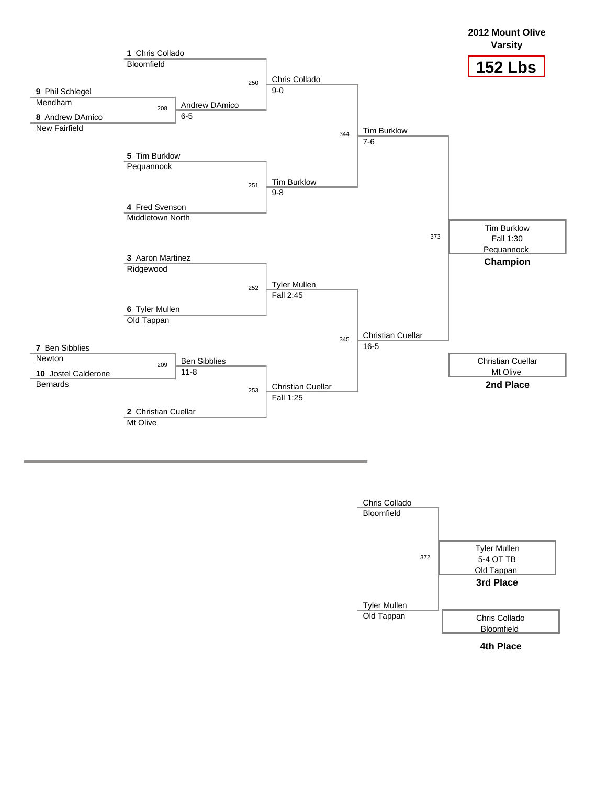

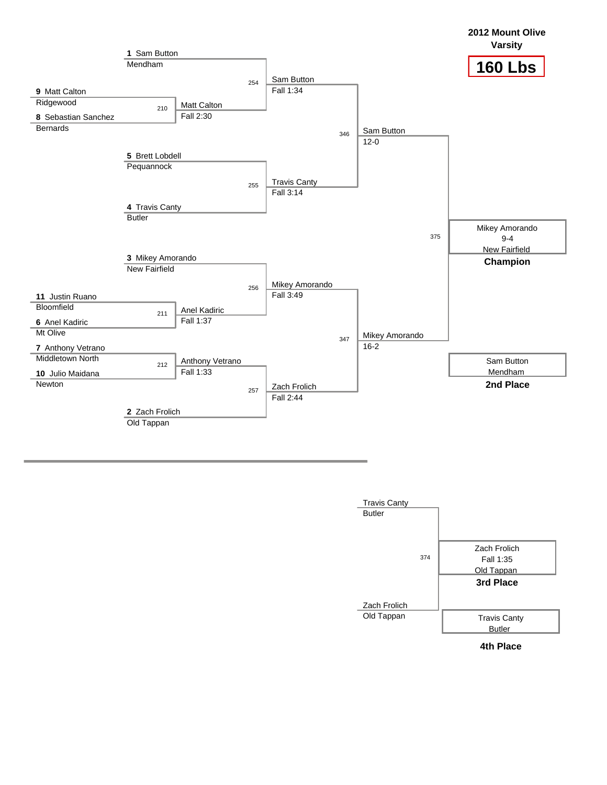

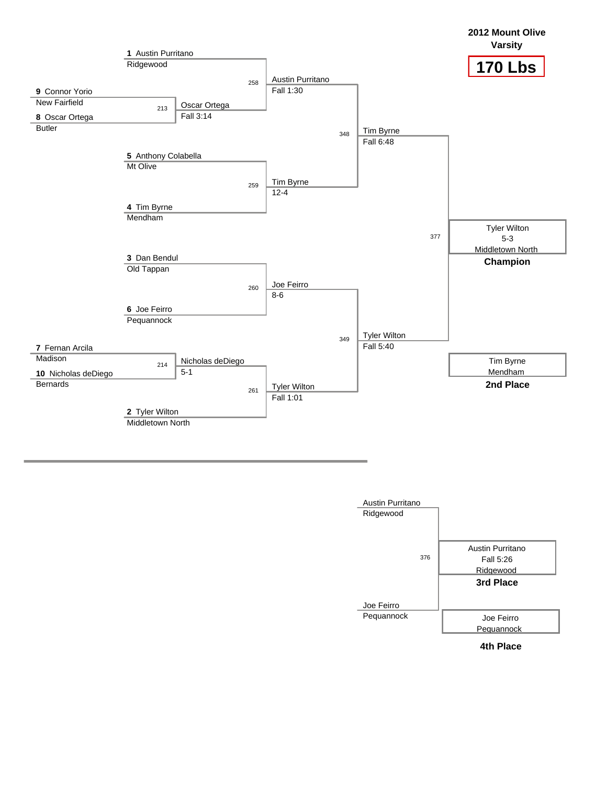

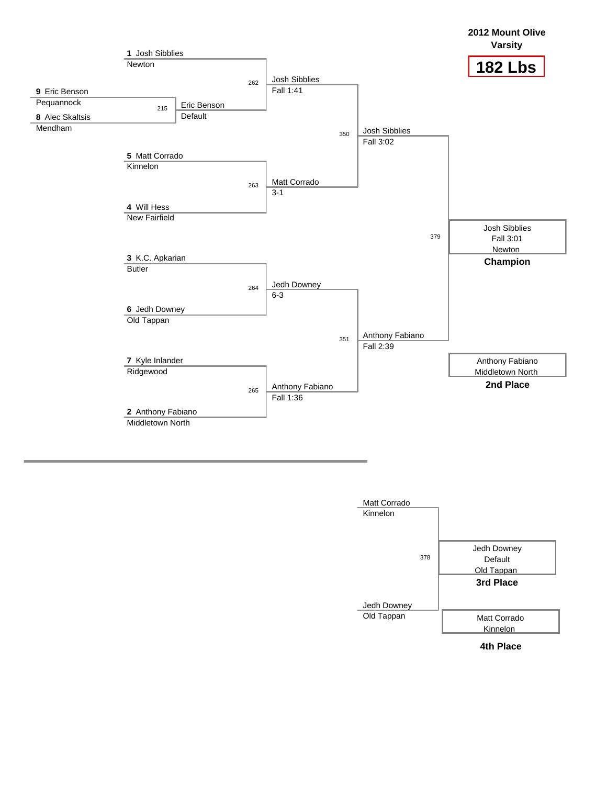

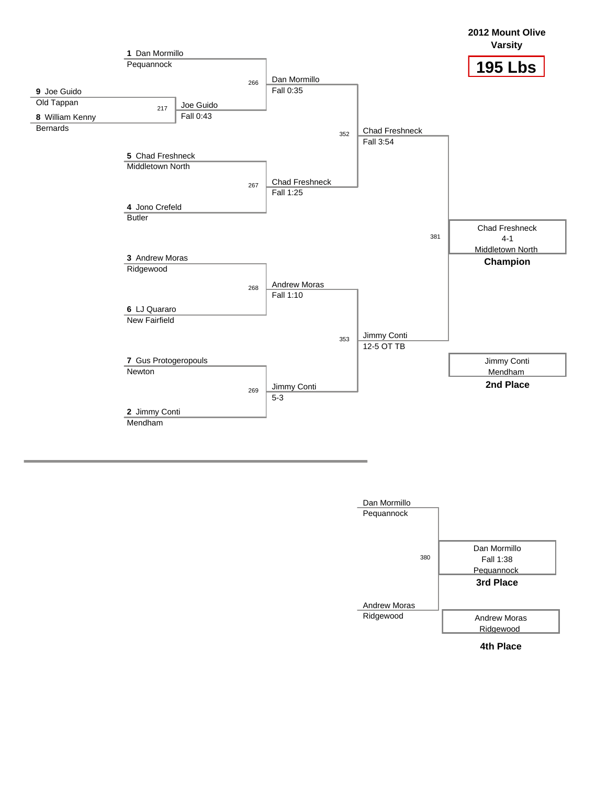

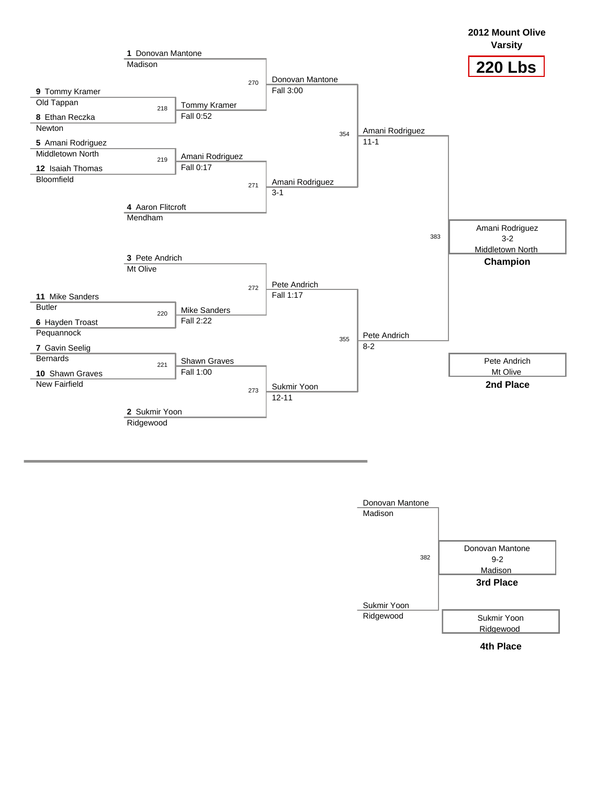

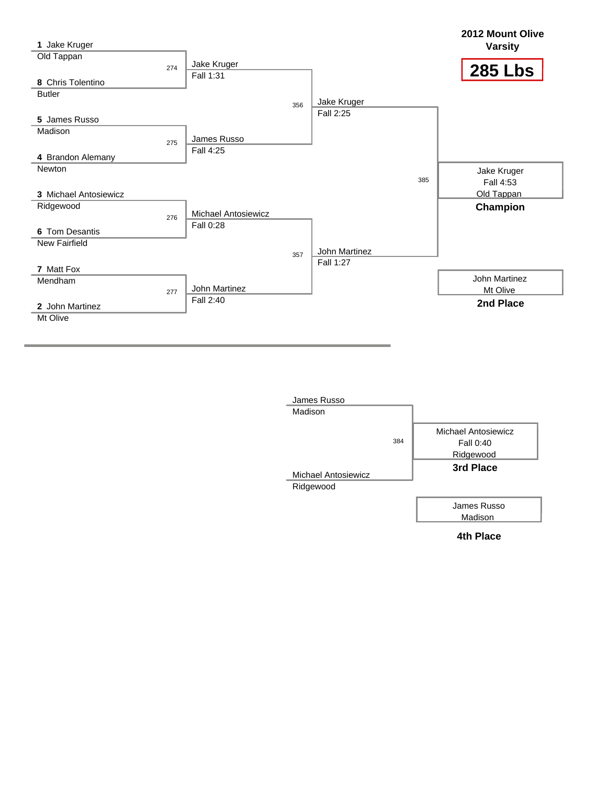| 1 Jake Kruger         |                            |               |     | 2012 Mount Olive<br><b>Varsity</b> |
|-----------------------|----------------------------|---------------|-----|------------------------------------|
| Old Tappan            | Jake Kruger                |               |     |                                    |
| 274                   | Fall 1:31                  |               |     | <b>285 Lbs</b>                     |
| 8 Chris Tolentino     |                            |               |     |                                    |
| <b>Butler</b>         |                            | Jake Kruger   |     |                                    |
|                       | 356                        | Fall 2:25     |     |                                    |
| 5 James Russo         |                            |               |     |                                    |
| Madison               |                            |               |     |                                    |
| 275                   | James Russo                |               |     |                                    |
| 4 Brandon Alemany     | Fall 4:25                  |               |     |                                    |
| Newton                |                            |               |     | Jake Kruger                        |
|                       |                            |               | 385 | Fall 4:53                          |
| 3 Michael Antosiewicz |                            |               |     | Old Tappan                         |
| Ridgewood             |                            |               |     | Champion                           |
| 276                   | <b>Michael Antosiewicz</b> |               |     |                                    |
| 6 Tom Desantis        | Fall 0:28                  |               |     |                                    |
| New Fairfield         |                            |               |     |                                    |
|                       | 357                        | John Martinez |     |                                    |
| 7 Matt Fox            |                            | Fall 1:27     |     |                                    |
| Mendham               |                            |               |     | John Martinez                      |
| 277                   | John Martinez              |               |     | Mt Olive                           |
| 2 John Martinez       | Fall 2:40                  |               |     | 2nd Place                          |
| Mt Olive              |                            |               |     |                                    |
|                       |                            |               |     |                                    |

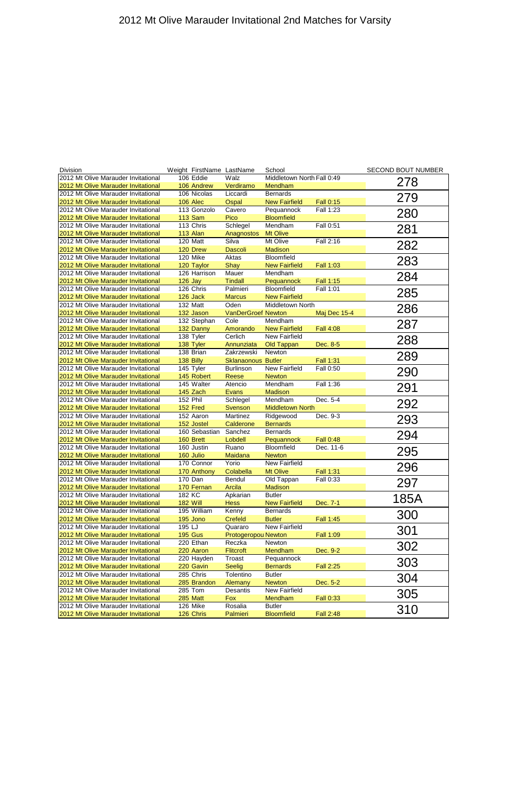| <b>Division</b>                     | Weight FirstName LastName |                           | School                     |                  | <b>SECOND BOUT NUMBER</b> |
|-------------------------------------|---------------------------|---------------------------|----------------------------|------------------|---------------------------|
| 2012 Mt Olive Marauder Invitational | 106 Eddie                 | Walz                      | Middletown North Fall 0:49 |                  |                           |
| 2012 Mt Olive Marauder Invitational | 106 Andrew                | Verdiramo                 | Mendham                    |                  | 278                       |
| 2012 Mt Olive Marauder Invitational | 106 Nicolas               | Liccardi                  | <b>Bernards</b>            |                  |                           |
| 2012 Mt Olive Marauder Invitational | 106 Alec                  | Ospal                     | <b>New Fairfield</b>       | <b>Fall 0:15</b> | 279                       |
| 2012 Mt Olive Marauder Invitational | 113 Gonzolo               | Cavero                    | Pequannock                 | Fall 1:23        |                           |
| 2012 Mt Olive Marauder Invitational | <b>113 Sam</b>            | Pico                      | <b>Bloomfield</b>          |                  | 280                       |
| 2012 Mt Olive Marauder Invitational | 113 Chris                 | Schlegel                  | Mendham                    | Fall 0:51        |                           |
| 2012 Mt Olive Marauder Invitational | 113 Alan                  | Anagnostos                | <b>Mt Olive</b>            |                  | 281                       |
| 2012 Mt Olive Marauder Invitational | 120 Matt                  | Silva                     | Mt Olive                   | Fall 2:16        |                           |
| 2012 Mt Olive Marauder Invitational | 120 Drew                  | <b>Dascoli</b>            | <b>Madison</b>             |                  | 282                       |
| 2012 Mt Olive Marauder Invitational | 120 Mike                  | Aktas                     | Bloomfield                 |                  |                           |
| 2012 Mt Olive Marauder Invitational | 120 Taylor                | Shay                      | <b>New Fairfield</b>       | <b>Fall 1:03</b> | 283                       |
| 2012 Mt Olive Marauder Invitational | 126 Harrison              | Mauer                     | Mendham                    |                  |                           |
| 2012 Mt Olive Marauder Invitational | <b>126 Jay</b>            | <b>Tindall</b>            | Pequannock                 | <b>Fall 1:15</b> | 284                       |
| 2012 Mt Olive Marauder Invitational | 126 Chris                 | Palmieri                  | <b>Bloomfield</b>          | Fall 1:01        |                           |
| 2012 Mt Olive Marauder Invitational | 126 Jack                  | <b>Marcus</b>             | <b>New Fairfield</b>       |                  | 285                       |
| 2012 Mt Olive Marauder Invitational | 132 Matt                  | Oden                      | Middletown North           |                  |                           |
| 2012 Mt Olive Marauder Invitational | 132 Jason                 | <b>VanDerGroef Newton</b> |                            | Maj Dec 15-4     | 286                       |
| 2012 Mt Olive Marauder Invitational | 132 Stephan               | Cole                      | Mendham                    |                  |                           |
| 2012 Mt Olive Marauder Invitational | 132 Danny                 | Amorando                  | <b>New Fairfield</b>       | <b>Fall 4:08</b> | 287                       |
| 2012 Mt Olive Marauder Invitational | 138 Tyler                 | Cerlich                   | New Fairfield              |                  |                           |
| 2012 Mt Olive Marauder Invitational | 138 Tyler                 | Annunziata                | Old Tappan                 | Dec. 8-5         | 288                       |
| 2012 Mt Olive Marauder Invitational | 138 Brian                 | Zakrzewski                | Newton                     |                  |                           |
|                                     |                           |                           |                            |                  | 289                       |
| 2012 Mt Olive Marauder Invitational | 138 Billy                 | <b>Sklanaonous Butler</b> |                            | <b>Fall 1:31</b> |                           |
| 2012 Mt Olive Marauder Invitational | 145 Tyler                 | <b>Burlinson</b>          | New Fairfield              | Fall 0:50        | 290                       |
| 2012 Mt Olive Marauder Invitational | 145 Robert                | Reese                     | <b>Newton</b>              |                  |                           |
| 2012 Mt Olive Marauder Invitational | 145 Walter                | Atencio                   | Mendham                    | Fall 1:36        | 291                       |
| 2012 Mt Olive Marauder Invitational | 145 Zach                  | <b>Evans</b>              | <b>Madison</b>             |                  |                           |
| 2012 Mt Olive Marauder Invitational | 152 Phil                  | Schlegel                  | Mendham                    | Dec. 5-4         | 292                       |
| 2012 Mt Olive Marauder Invitational | 152 Fred                  | Svenson                   | <b>Middletown North</b>    |                  |                           |
| 2012 Mt Olive Marauder Invitational | 152 Aaron                 | Martinez                  | Ridgewood                  | Dec. 9-3         | 293                       |
| 2012 Mt Olive Marauder Invitational | 152 Jostel                | Calderone                 | <b>Bernards</b>            |                  |                           |
| 2012 Mt Olive Marauder Invitational | 160 Sebastian             | Sanchez                   | <b>Bernards</b>            |                  | 294                       |
| 2012 Mt Olive Marauder Invitational | 160 Brett                 | Lobdell                   | <b>Pequannock</b>          | <b>Fall 0:48</b> |                           |
| 2012 Mt Olive Marauder Invitational | 160 Justin                | Ruano                     | Bloomfield                 | Dec. 11-6        | 295                       |
| 2012 Mt Olive Marauder Invitational | 160 Julio                 | <b>Maidana</b>            | <b>Newton</b>              |                  |                           |
| 2012 Mt Olive Marauder Invitational | 170 Connor                | Yorio                     | New Fairfield              |                  | 296                       |
| 2012 Mt Olive Marauder Invitational | 170 Anthony               | Colabella                 | <b>Mt Olive</b>            | <b>Fall 1:31</b> |                           |
| 2012 Mt Olive Marauder Invitational | 170 Dan                   | Bendul                    | Old Tappan                 | Fall 0:33        | 297                       |
| 2012 Mt Olive Marauder Invitational | 170 Fernan                | <b>Arcila</b>             | <b>Madison</b>             |                  |                           |
| 2012 Mt Olive Marauder Invitational | 182 KC                    | Apkarian                  | <b>Butler</b>              |                  |                           |
| 2012 Mt Olive Marauder Invitational | <b>182 Will</b>           | <b>Hess</b>               | <b>New Fairfield</b>       | Dec. 7-1         | 185A                      |
| 2012 Mt Olive Marauder Invitational | 195 William               | Kenny                     | <b>Bernards</b>            |                  |                           |
| 2012 Mt Olive Marauder Invitational | 195 Jono                  | <b>Crefeld</b>            | <b>Butler</b>              | Fall 1:45        | 300                       |
| 2012 Mt Olive Marauder Invitational | 195 LJ                    | Quararo                   | <b>New Fairfield</b>       |                  |                           |
| 2012 Mt Olive Marauder Invitational | <b>195 Gus</b>            | Protogeropou Newton       |                            | <b>Fall 1:09</b> | 301                       |
| 2012 Mt Olive Marauder Invitational | 220 Ethan                 | Reczka                    | Newton                     |                  |                           |
| 2012 Mt Olive Marauder Invitational | 220 Aaron                 | <b>Flitcroft</b>          | Mendham                    | Dec. 9-2         | 302                       |
| 2012 Mt Olive Marauder Invitational | 220 Hayden                | Troast                    | Pequannock                 |                  |                           |
| 2012 Mt Olive Marauder Invitational | 220 Gavin                 | <b>Seelig</b>             | <b>Bernards</b>            | <b>Fall 2:25</b> | 303                       |
| 2012 Mt Olive Marauder Invitational | 285 Chris                 | Tolentino                 | <b>Butler</b>              |                  | 201                       |

| <b>12012 Mt Olive Marauder Invitational</b> | 285 Chris       | Tolentino  | <b>Butler</b>     |                  | 304 |
|---------------------------------------------|-----------------|------------|-------------------|------------------|-----|
| <b>2012 Mt Olive Marauder Invitational</b>  | 285 Brandon     | Alemany    | <b>Newton</b>     | Dec. 5-2         |     |
| 2012 Mt Olive Marauder Invitational         | 285 Tom         | Desantis   | New Fairfield     |                  | 305 |
| <b>2012 Mt Olive Marauder Invitational</b>  | <b>285 Matt</b> | <b>Fox</b> | Mendham           | <b>Fall 0:33</b> |     |
| 12012 Mt Olive Marauder Invitational        | 126 Mike        | Rosalia    | <b>Butler</b>     |                  | 310 |
| <b>2012 Mt Olive Marauder Invitational</b>  | 126 Chris       | Palmieri   | <b>Bloomfield</b> | <b>Fall 2:48</b> |     |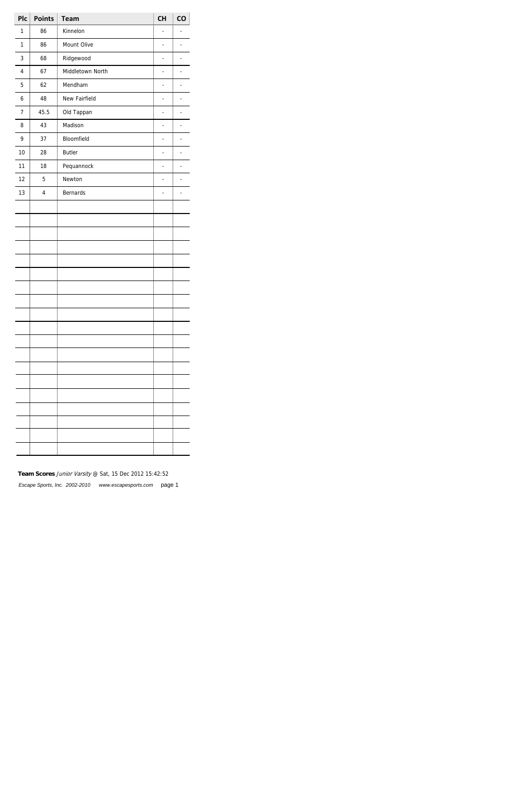| Plc            | <b>Points</b> | <b>Team</b>      | <b>CH</b> | CO                       |
|----------------|---------------|------------------|-----------|--------------------------|
| 1              | 86            | Kinnelon         | ÷,        | $\overline{a}$           |
| $\mathbf{1}$   | 86            | Mount Olive      | -         | $\overline{\phantom{m}}$ |
| 3              | 68            | Ridgewood        | -         | $\overline{\phantom{m}}$ |
| $\overline{4}$ | 67            | Middletown North | -         | $\overline{a}$           |
| 5              | 62            | Mendham          | ÷,        | $\frac{1}{2}$            |
| 6              | 48            | New Fairfield    | -         | $\overline{\phantom{m}}$ |
| 7              | 45.5          | Old Tappan       | -         | ÷,                       |
| 8              | 43            | Madison          | -         | $\overline{a}$           |
| 9              | 37            | Bloomfield       | ÷,        | $\frac{1}{2}$            |
| 10             | 28            | <b>Butler</b>    | -         | $\overline{\phantom{m}}$ |
| 11             | 18            | Pequannock       | -         | $\overline{\phantom{m}}$ |
| 12             | 5             | Newton           | -         | $\overline{a}$           |
| 13             | $\pmb{4}$     | <b>Bernards</b>  | ÷         | $\overline{\phantom{0}}$ |
|                |               |                  |           |                          |
|                |               |                  |           |                          |
|                |               |                  |           |                          |
|                |               |                  |           |                          |
|                |               |                  |           |                          |
|                |               |                  |           |                          |
|                |               |                  |           |                          |
|                |               |                  |           |                          |
|                |               |                  |           |                          |
|                |               |                  |           |                          |
|                |               |                  |           |                          |
|                |               |                  |           |                          |
|                |               |                  |           |                          |
|                |               |                  |           |                          |
|                |               |                  |           |                          |
|                |               |                  |           |                          |
|                |               |                  |           |                          |
|                |               |                  |           |                          |
|                |               |                  |           |                          |

## **Team Scores** Junior Varsity @ Sat, 15 Dec 2012 15:42:52

Escape Sports, Inc. 2002-2010 www.escapesports.com page 1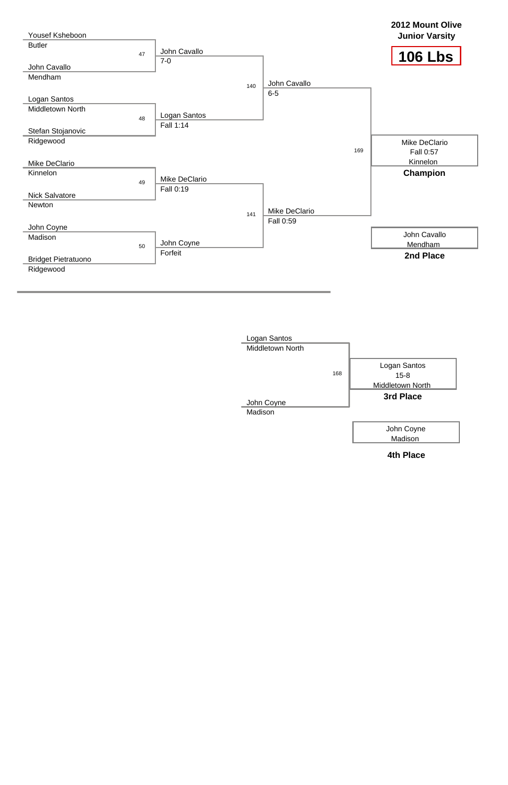



**4th Place**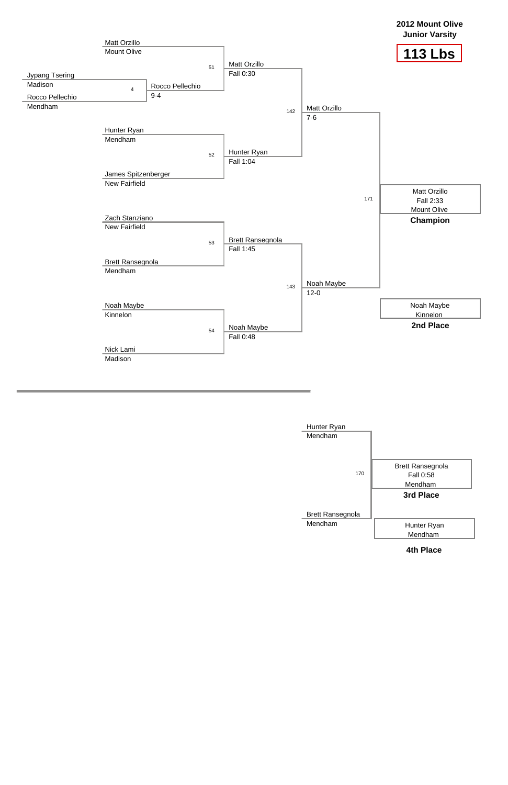

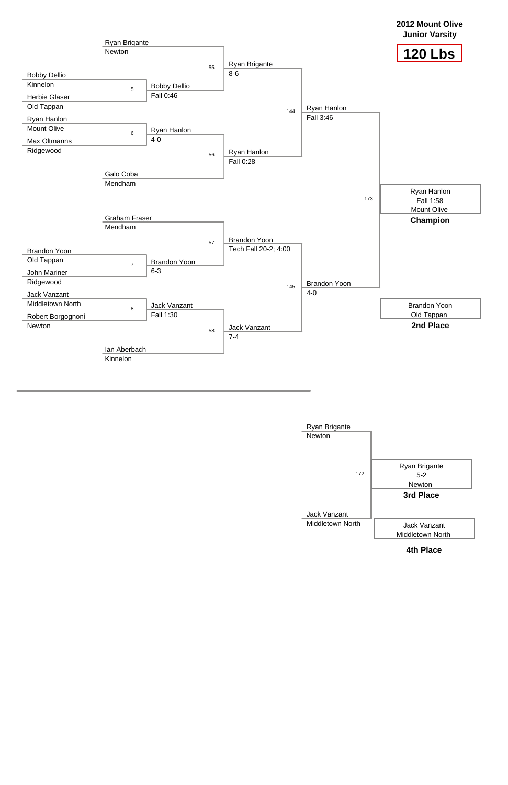

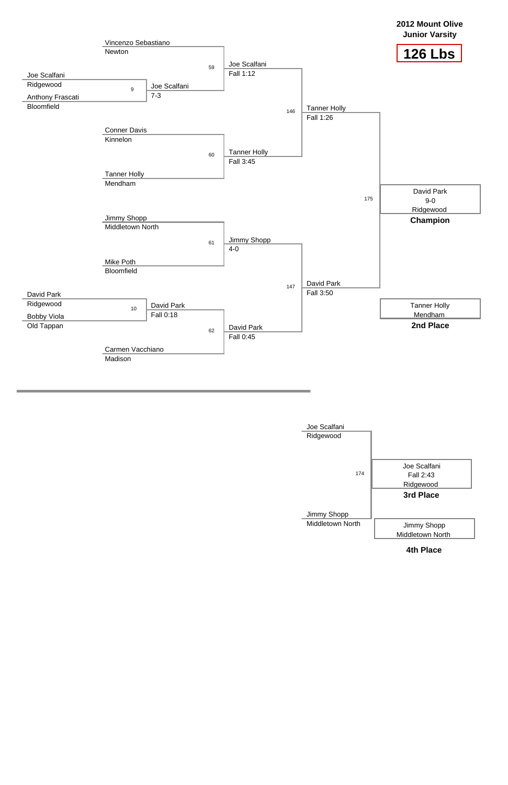

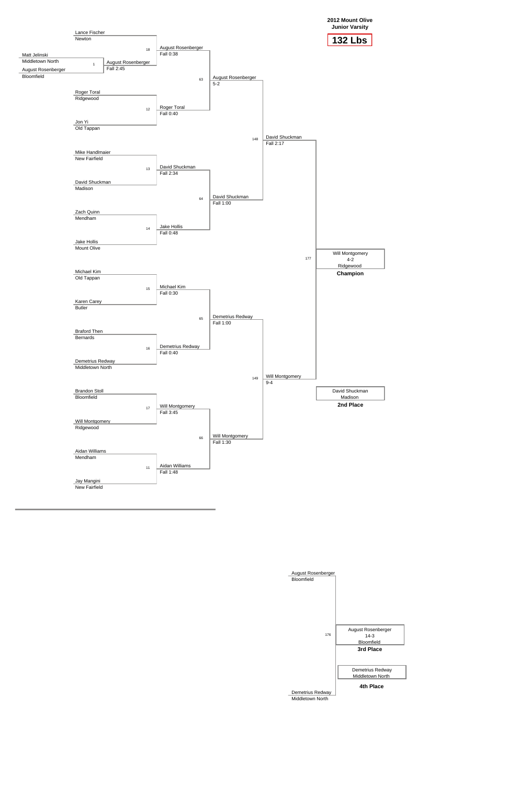**2012 Mount Olive Junior Varsity**



August Rosenberger

| Bloomfield                                  |                                                         |  |
|---------------------------------------------|---------------------------------------------------------|--|
| 176                                         | August Rosenberger<br>$14-3$<br>Bloomfield<br>3rd Place |  |
|                                             | Demetrius Redway<br>Middletown North                    |  |
| Demetrius Redway<br><b>Middletown North</b> | 4th Place                                               |  |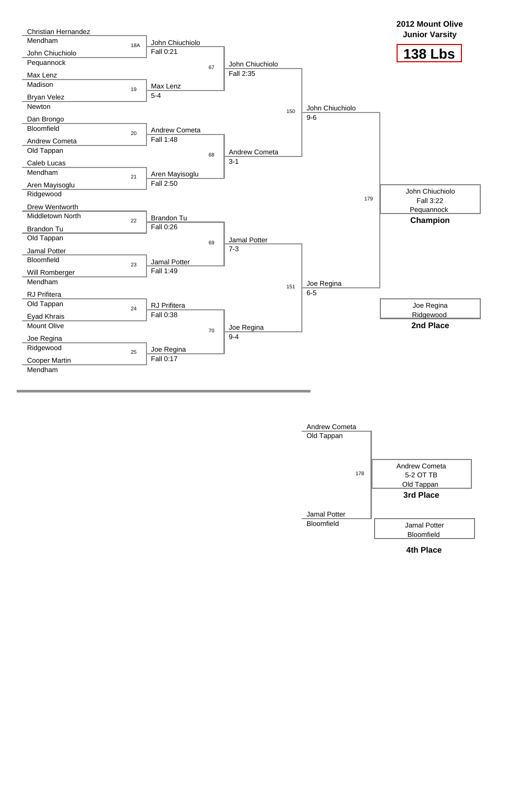

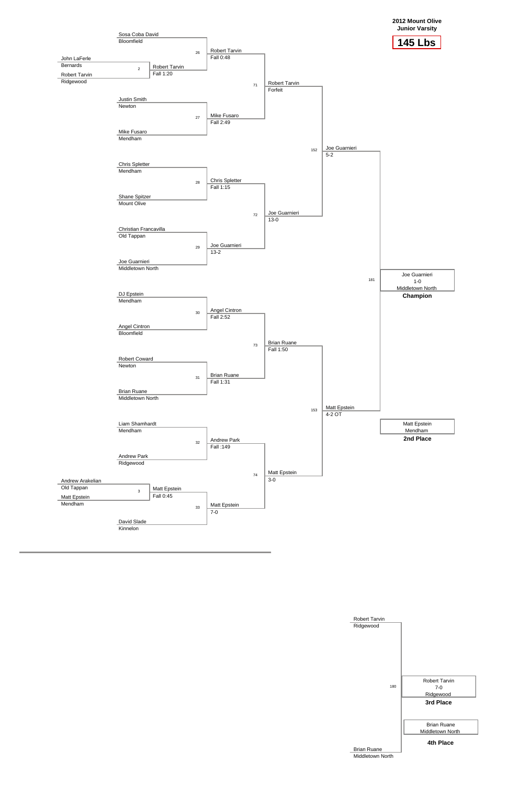



| <b>Robert Tarvin</b> |                                            |
|----------------------|--------------------------------------------|
| Ridgewood            |                                            |
| 180                  | <b>Robert Tarvin</b><br>$7-0$<br>Ridgewood |
|                      | 3rd Place                                  |
|                      | <b>Brian Ruane</b>                         |
|                      | Middletown North                           |
| <b>Brian Ruane</b>   | 4th Place                                  |
| Middletown North     |                                            |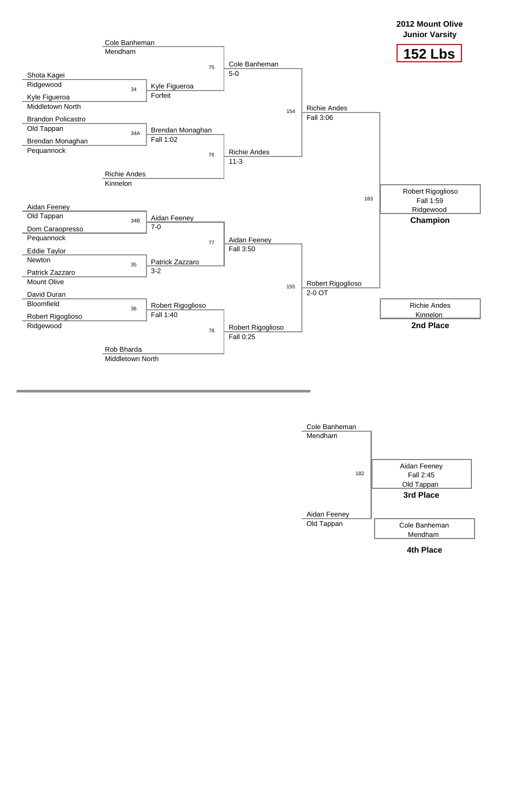

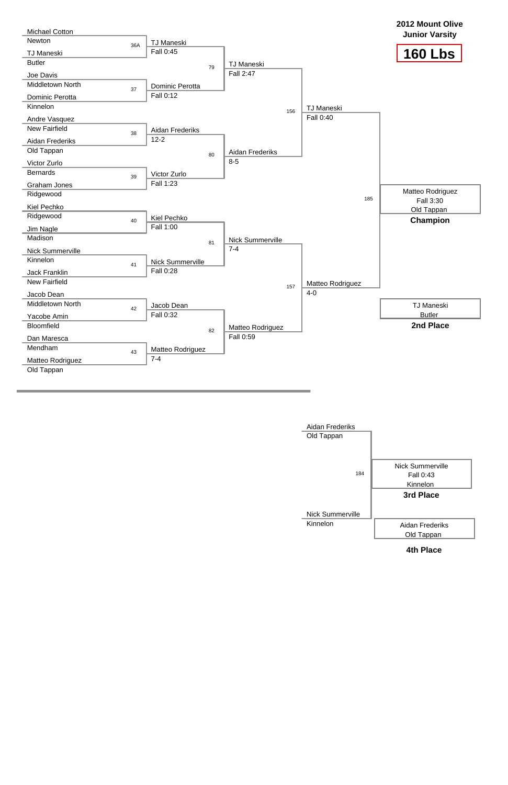

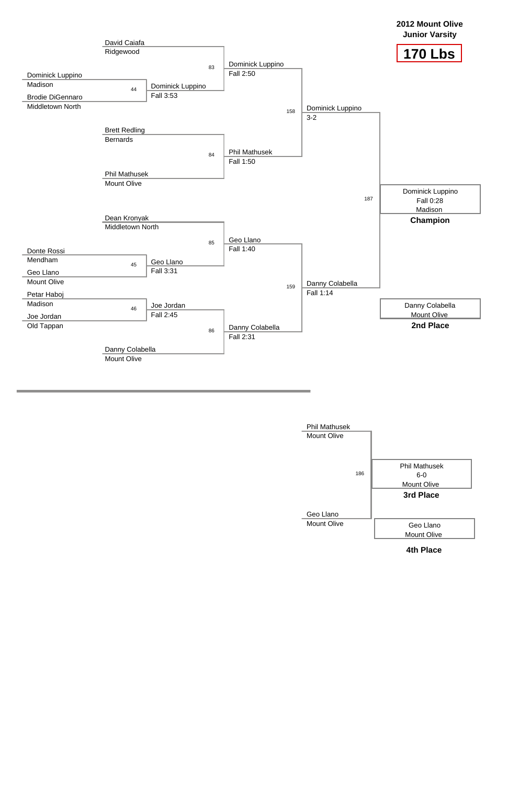

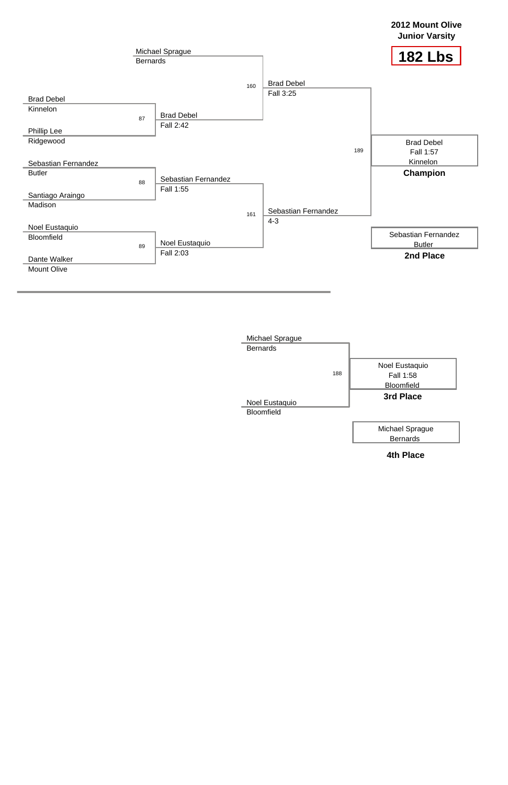

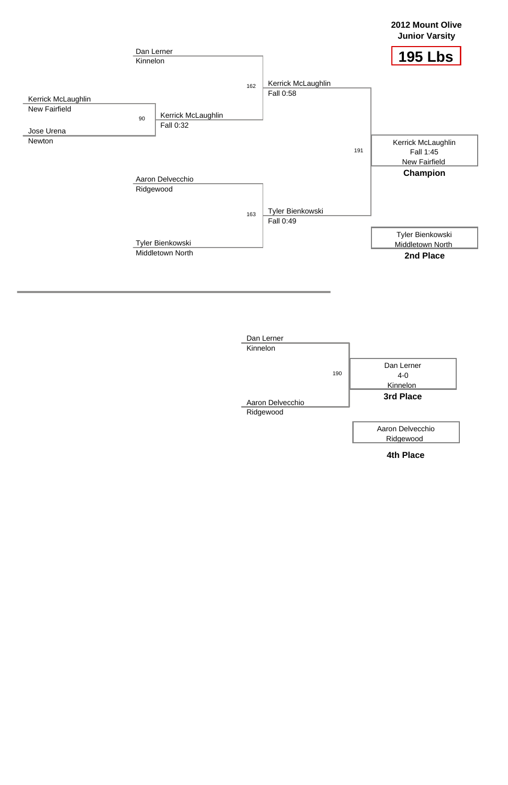



**4th Place**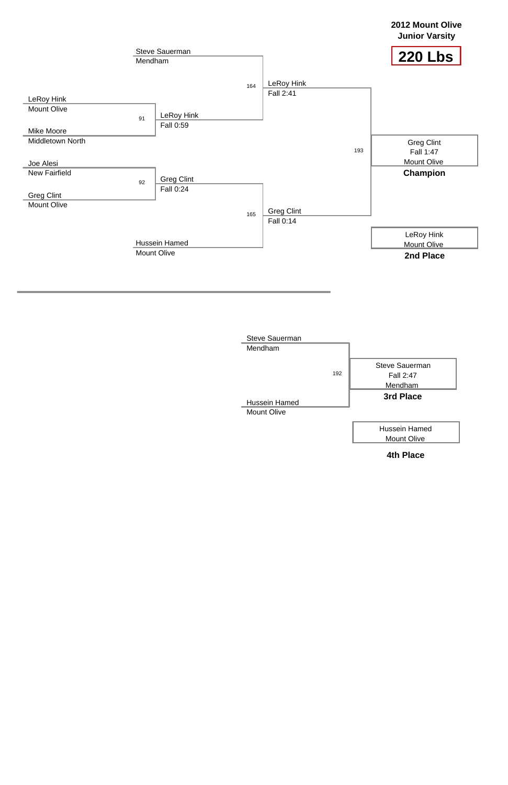



**4th Place**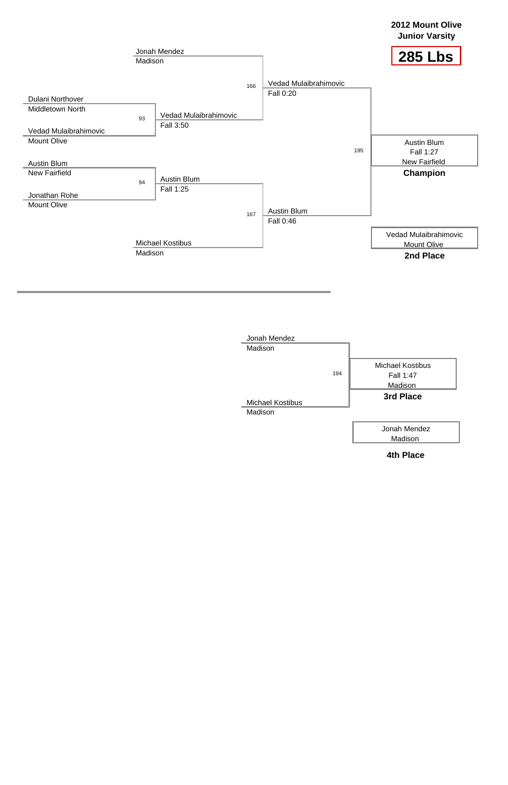



**4th Place**